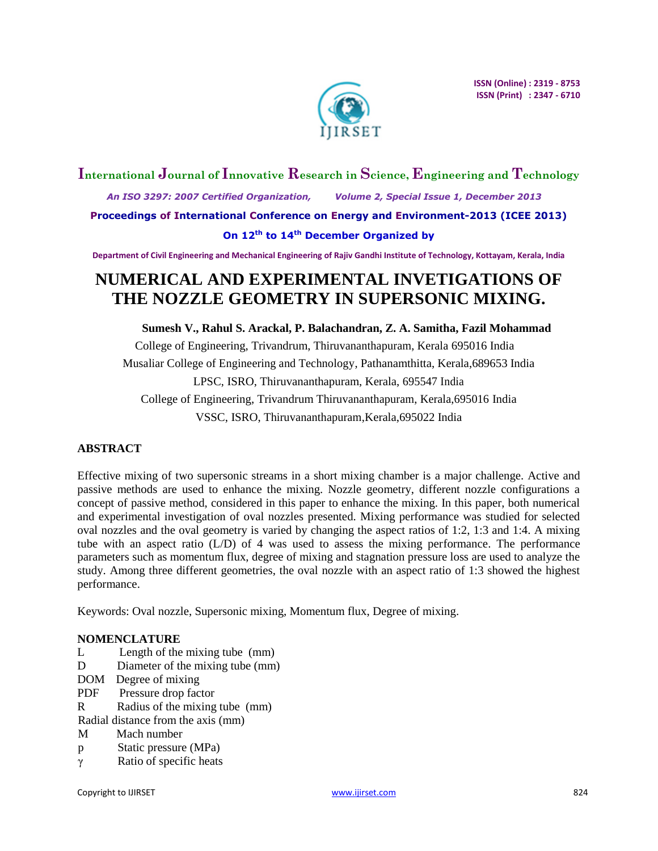

# **International Journal of Innovative Research in Science, Engineering and Technology**

 *An ISO 3297: 2007 Certified Organization, Volume 2, Special Issue 1, December 2013* **Proceedings of International Conference on Energy and Environment-2013 (ICEE 2013) On 12th to 14th December Organized by**

**Department of Civil Engineering and Mechanical Engineering of Rajiv Gandhi Institute of Technology, Kottayam, Kerala, India**

# **NUMERICAL AND EXPERIMENTAL INVETIGATIONS OF THE NOZZLE GEOMETRY IN SUPERSONIC MIXING.**

# **Sumesh V., Rahul S. Arackal, P. Balachandran, Z. A. Samitha, Fazil Mohammad**

College of Engineering, Trivandrum, Thiruvananthapuram, Kerala 695016 India Musaliar College of Engineering and Technology, Pathanamthitta, Kerala,689653 India LPSC, ISRO, Thiruvananthapuram, Kerala, 695547 India College of Engineering, Trivandrum Thiruvananthapuram, Kerala,695016 India VSSC, ISRO, Thiruvananthapuram,Kerala,695022 India

# **ABSTRACT**

Effective mixing of two supersonic streams in a short mixing chamber is a major challenge. Active and passive methods are used to enhance the mixing. Nozzle geometry, different nozzle configurations a concept of passive method, considered in this paper to enhance the mixing. In this paper, both numerical and experimental investigation of oval nozzles presented. Mixing performance was studied for selected oval nozzles and the oval geometry is varied by changing the aspect ratios of 1:2, 1:3 and 1:4. A mixing tube with an aspect ratio (L/D) of 4 was used to assess the mixing performance. The performance parameters such as momentum flux, degree of mixing and stagnation pressure loss are used to analyze the study. Among three different geometries, the oval nozzle with an aspect ratio of 1:3 showed the highest performance.

Keywords: Oval nozzle, Supersonic mixing, Momentum flux, Degree of mixing.

# **NOMENCLATURE**

- L Length of the mixing tube (mm)
- D Diameter of the mixing tube (mm)
- DOM Degree of mixing
- PDF Pressure drop factor
- R Radius of the mixing tube (mm)
- Radial distance from the axis (mm)
- M Mach number
- p Static pressure (MPa)
- γ Ratio of specific heats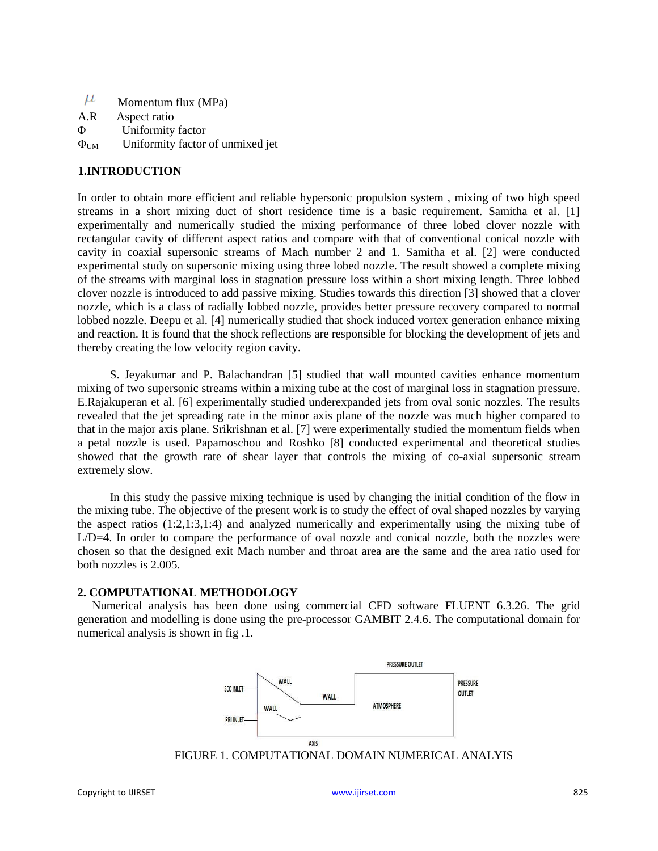$\mu$ Momentum flux (MPa) A.R Aspect ratio Φ Uniformity factor  $\Phi_{\text{UM}}$  Uniformity factor of unmixed jet

# **1.INTRODUCTION**

In order to obtain more efficient and reliable hypersonic propulsion system , mixing of two high speed streams in a short mixing duct of short residence time is a basic requirement. Samitha et al. [1] experimentally and numerically studied the mixing performance of three lobed clover nozzle with rectangular cavity of different aspect ratios and compare with that of conventional conical nozzle with cavity in coaxial supersonic streams of Mach number 2 and 1. Samitha et al. [2] were conducted experimental study on supersonic mixing using three lobed nozzle. The result showed a complete mixing of the streams with marginal loss in stagnation pressure loss within a short mixing length. Three lobbed clover nozzle is introduced to add passive mixing. Studies towards this direction [3] showed that a clover nozzle, which is a class of radially lobbed nozzle, provides better pressure recovery compared to normal lobbed nozzle. Deepu et al. [4] numerically studied that shock induced vortex generation enhance mixing and reaction. It is found that the shock reflections are responsible for blocking the development of jets and thereby creating the low velocity region cavity.

S. Jeyakumar and P. Balachandran [5] studied that wall mounted cavities enhance momentum mixing of two supersonic streams within a mixing tube at the cost of marginal loss in stagnation pressure. E.Rajakuperan et al. [6] experimentally studied underexpanded jets from oval sonic nozzles. The results revealed that the jet spreading rate in the minor axis plane of the nozzle was much higher compared to that in the major axis plane. Srikrishnan et al. [7] were experimentally studied the momentum fields when a petal nozzle is used. Papamoschou and Roshko [8] conducted experimental and theoretical studies showed that the growth rate of shear layer that controls the mixing of co-axial supersonic stream extremely slow.

In this study the passive mixing technique is used by changing the initial condition of the flow in the mixing tube. The objective of the present work is to study the effect of oval shaped nozzles by varying the aspect ratios (1:2,1:3,1:4) and analyzed numerically and experimentally using the mixing tube of L/D=4. In order to compare the performance of oval nozzle and conical nozzle, both the nozzles were chosen so that the designed exit Mach number and throat area are the same and the area ratio used for both nozzles is 2.005.

### **2. COMPUTATIONAL METHODOLOGY**

Numerical analysis has been done using commercial CFD software FLUENT 6.3.26. The grid generation and modelling is done using the pre-processor GAMBIT 2.4.6. The computational domain for numerical analysis is shown in fig .1.



FIGURE 1. COMPUTATIONAL DOMAIN NUMERICAL ANALYIS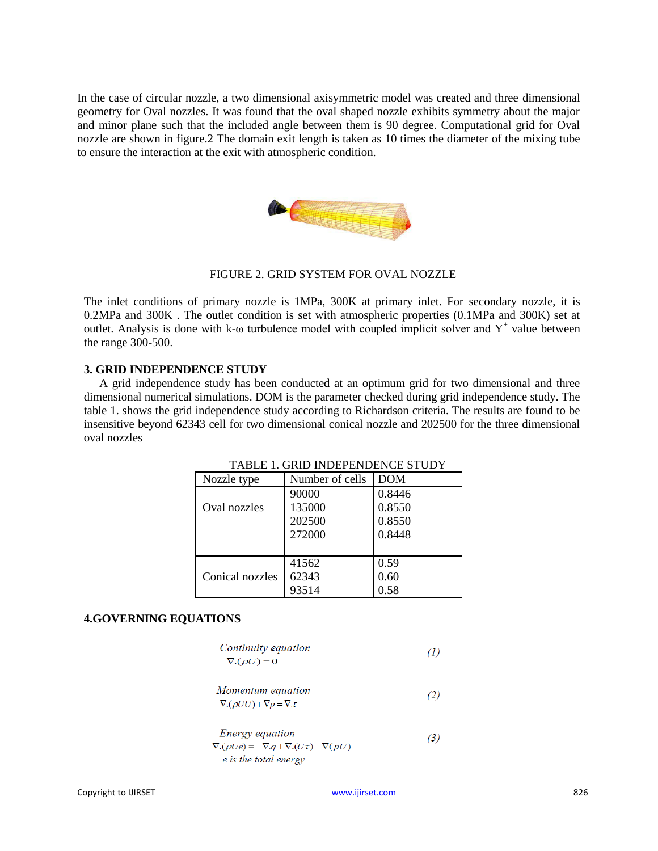In the case of circular nozzle, a two dimensional axisymmetric model was created and three dimensional geometry for Oval nozzles. It was found that the oval shaped nozzle exhibits symmetry about the major and minor plane such that the included angle between them is 90 degree. Computational grid for Oval nozzle are shown in figure.2 The domain exit length is taken as 10 times the diameter of the mixing tube to ensure the interaction at the exit with atmospheric condition.



# FIGURE 2. GRID SYSTEM FOR OVAL NOZZLE

The inlet conditions of primary nozzle is 1MPa, 300K at primary inlet. For secondary nozzle, it is 0.2MPa and 300K . The outlet condition is set with atmospheric properties (0.1MPa and 300K) set at outlet. Analysis is done with k- $\omega$  turbulence model with coupled implicit solver and Y<sup>+</sup> value between the range 300-500.

# **3. GRID INDEPENDENCE STUDY**

A grid independence study has been conducted at an optimum grid for two dimensional and three dimensional numerical simulations. DOM is the parameter checked during grid independence study. The table 1. shows the grid independence study according to Richardson criteria. The results are found to be insensitive beyond 62343 cell for two dimensional conical nozzle and 202500 for the three dimensional oval nozzles

| Nozzle type     | Number of cells | <b>DOM</b> |
|-----------------|-----------------|------------|
|                 | 90000           | 0.8446     |
| Oval nozzles    | 135000          | 0.8550     |
|                 | 202500          | 0.8550     |
|                 | 272000          | 0.8448     |
|                 |                 |            |
|                 | 41562           | 0.59       |
| Conical nozzles | 62343           | 0.60       |
|                 | 93514           |            |

TABLE 1. GRID INDEPENDENCE STUDY

### **4.GOVERNING EQUATIONS**

Continuity equation  
\n
$$
\nabla.(\rho U) = 0
$$
\n(1)

*Momentum equation*  
\n
$$
\nabla.(\rho UU) + \nabla p = \nabla.\tau
$$
\n(2)

Energy equation  
\n
$$
\nabla \cdot (\rho U e) = -\nabla \cdot q + \nabla \cdot (U\tau) - \nabla (pU)
$$
\n*e is the total energy* (3)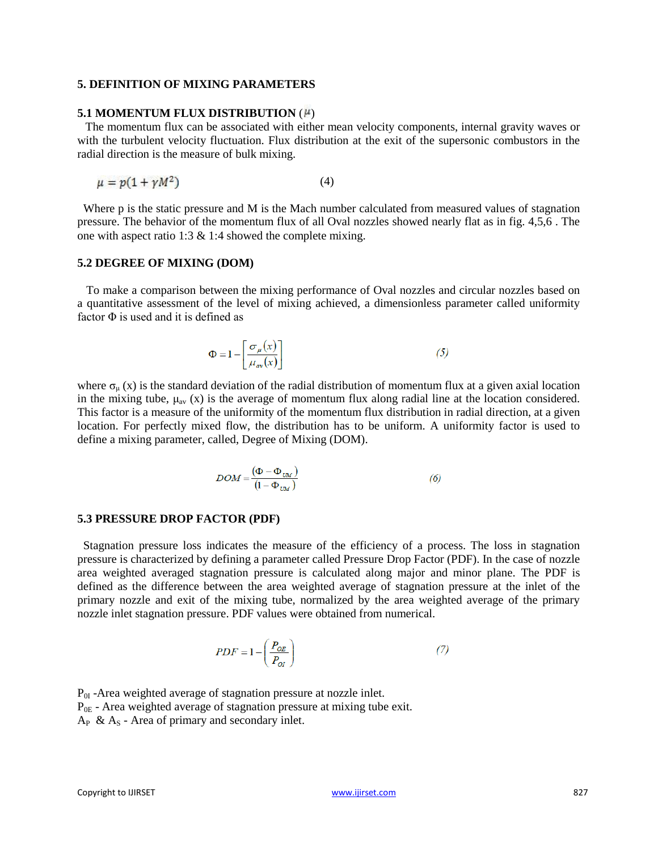### **5. DEFINITION OF MIXING PARAMETERS**

# **5.1 MOMENTUM FLUX DISTRIBUTION (#)**

The momentum flux can be associated with either mean velocity components, internal gravity waves or with the turbulent velocity fluctuation. Flux distribution at the exit of the supersonic combustors in the radial direction is the measure of bulk mixing.

$$
\mu = p(1 + \gamma M^2) \tag{4}
$$

Where p is the static pressure and M is the Mach number calculated from measured values of stagnation pressure. The behavior of the momentum flux of all Oval nozzles showed nearly flat as in fig. 4,5,6 . The one with aspect ratio 1:3 & 1:4 showed the complete mixing.

### **5.2 DEGREE OF MIXING (DOM)**

To make a comparison between the mixing performance of Oval nozzles and circular nozzles based on a quantitative assessment of the level of mixing achieved, a dimensionless parameter called uniformity factor  $\Phi$  is used and it is defined as

$$
\Phi = 1 - \left[ \frac{\sigma_{\mu}(x)}{\mu_{av}(x)} \right] \tag{5}
$$

where  $\sigma_u(x)$  is the standard deviation of the radial distribution of momentum flux at a given axial location in the mixing tube,  $\mu_{av}$  (x) is the average of momentum flux along radial line at the location considered. This factor is a measure of the uniformity of the momentum flux distribution in radial direction, at a given location. For perfectly mixed flow, the distribution has to be uniform. A uniformity factor is used to define a mixing parameter, called, Degree of Mixing (DOM).

$$
DOM = \frac{(\Phi - \Phi_{\text{UM}})}{(1 - \Phi_{\text{UM}})}\tag{6}
$$

#### **5.3 PRESSURE DROP FACTOR (PDF)**

Stagnation pressure loss indicates the measure of the efficiency of a process. The loss in stagnation pressure is characterized by defining a parameter called Pressure Drop Factor (PDF). In the case of nozzle area weighted averaged stagnation pressure is calculated along major and minor plane. The PDF is defined as the difference between the area weighted average of stagnation pressure at the inlet of the primary nozzle and exit of the mixing tube, normalized by the area weighted average of the primary nozzle inlet stagnation pressure. PDF values were obtained from numerical.

$$
PDF = 1 - \left(\frac{P_{OE}}{P_{OI}}\right) \tag{7}
$$

 $P_{0I}$  -Area weighted average of stagnation pressure at nozzle inlet.  $P_{0E}$  - Area weighted average of stagnation pressure at mixing tube exit.  $A_P \& A_S$  - Area of primary and secondary inlet.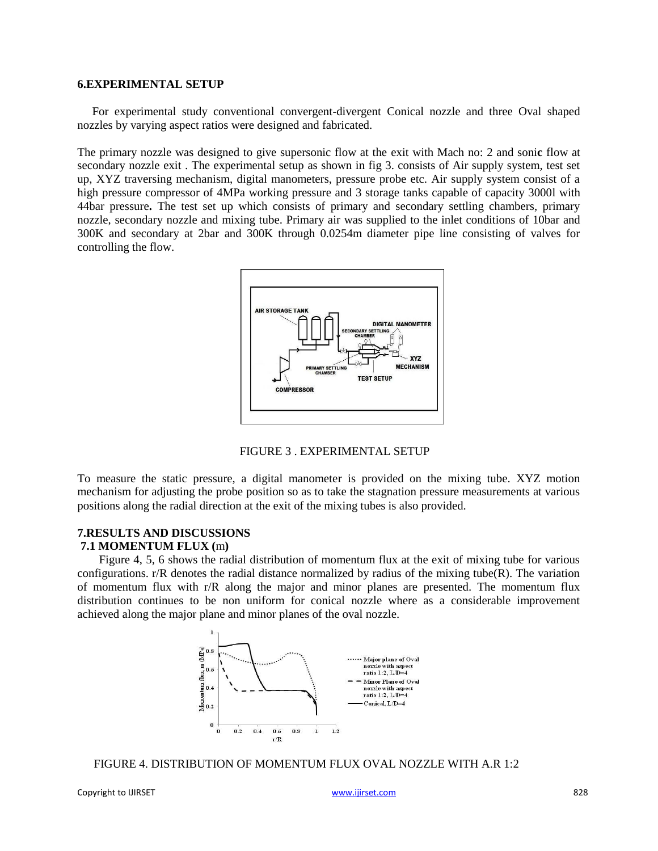### **6.EXPERIMENTAL SETUP**

For experimental study conventional convergent-divergent Conical nozzle and three Oval shaped nozzles by varying aspect ratios were designed and fabricated.

The primary nozzle was designed to give supersonic flow at the exit with Mach no: 2 and soni**c** flow at secondary nozzle exit . The experimental setup as shown in fig 3. consists of Air supply system, test set up, XYZ traversing mechanism, digital manometers, pressure probe etc. Air supply system consist of a high pressure compressor of 4MPa working pressure and 3 storage tanks capable of capacity 3000l with 44bar pressure**.** The test set up which consists of primary and secondary settling chambers, primary nozzle, secondary nozzle and mixing tube. Primary air was supplied to the inlet conditions of 10bar and 300K and secondary at 2bar and 300K through 0.0254m diameter pipe line consisting of valves for controlling the flow.



FIGURE 3 . EXPERIMENTAL SETUP

To measure the static pressure, a digital manometer is provided on the mixing tube. XYZ motion mechanism for adjusting the probe position so as to take the stagnation pressure measurements at various positions along the radial direction at the exit of the mixing tubes is also provided.

# **7.RESULTS AND DISCUSSIONS**

# **7.1 MOMENTUM FLUX (**m**)**

Figure 4, 5, 6 shows the radial distribution of momentum flux at the exit of mixing tube for various configurations.  $r/R$  denotes the radial distance normalized by radius of the mixing tube( $R$ ). The variation of momentum flux with r/R along the major and minor planes are presented. The momentum flux distribution continues to be non uniform for conical nozzle where as a considerable improvement achieved along the major plane and minor planes of the oval nozzle.



#### FIGURE 4. DISTRIBUTION OF MOMENTUM FLUX OVAL NOZZLE WITH A.R 1:2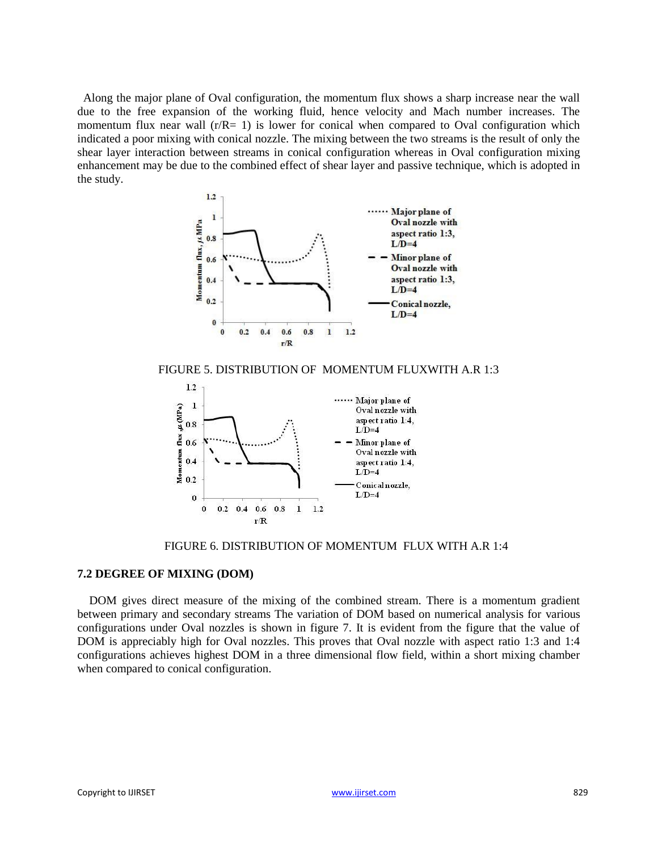Along the major plane of Oval configuration, the momentum flux shows a sharp increase near the wall due to the free expansion of the working fluid, hence velocity and Mach number increases. The momentum flux near wall  $(r/R= 1)$  is lower for conical when compared to Oval configuration which indicated a poor mixing with conical nozzle. The mixing between the two streams is the result of only the shear layer interaction between streams in conical configuration whereas in Oval configuration mixing enhancement may be due to the combined effect of shear layer and passive technique, which is adopted in the study.







FIGURE 6. DISTRIBUTION OF MOMENTUM FLUX WITH A.R 1:4

# **7.2 DEGREE OF MIXING (DOM)**

DOM gives direct measure of the mixing of the combined stream. There is a momentum gradient between primary and secondary streams The variation of DOM based on numerical analysis for various configurations under Oval nozzles is shown in figure 7. It is evident from the figure that the value of DOM is appreciably high for Oval nozzles. This proves that Oval nozzle with aspect ratio 1:3 and 1:4 configurations achieves highest DOM in a three dimensional flow field, within a short mixing chamber when compared to conical configuration.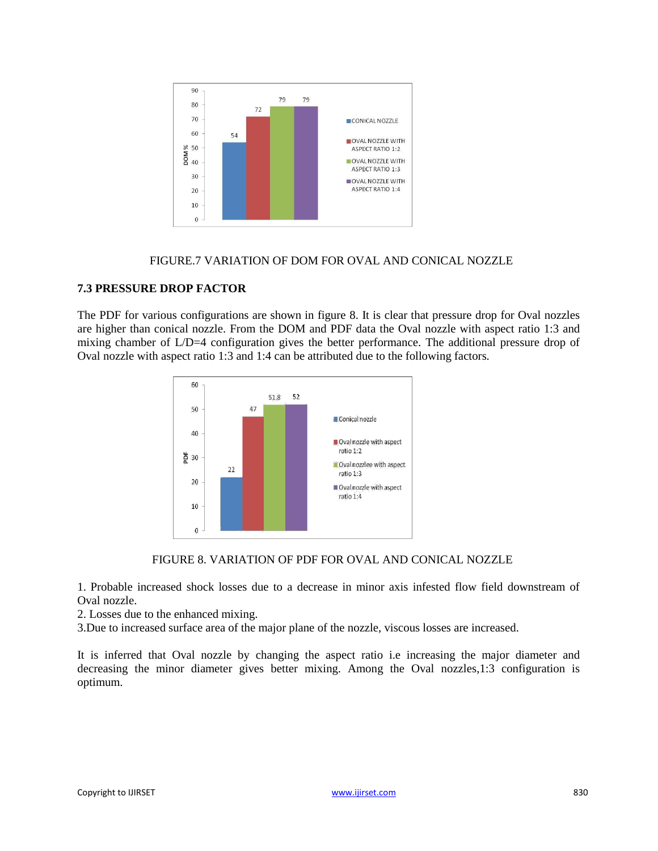

# FIGURE.7 VARIATION OF DOM FOR OVAL AND CONICAL NOZZLE

# **7.3 PRESSURE DROP FACTOR**

The PDF for various configurations are shown in figure 8. It is clear that pressure drop for Oval nozzles are higher than conical nozzle. From the DOM and PDF data the Oval nozzle with aspect ratio 1:3 and mixing chamber of L/D=4 configuration gives the better performance. The additional pressure drop of Oval nozzle with aspect ratio 1:3 and 1:4 can be attributed due to the following factors.



### FIGURE 8. VARIATION OF PDF FOR OVAL AND CONICAL NOZZLE

1. Probable increased shock losses due to a decrease in minor axis infested flow field downstream of Oval nozzle.

2. Losses due to the enhanced mixing.

3.Due to increased surface area of the major plane of the nozzle, viscous losses are increased.

It is inferred that Oval nozzle by changing the aspect ratio i.e increasing the major diameter and decreasing the minor diameter gives better mixing. Among the Oval nozzles,1:3 configuration is optimum.